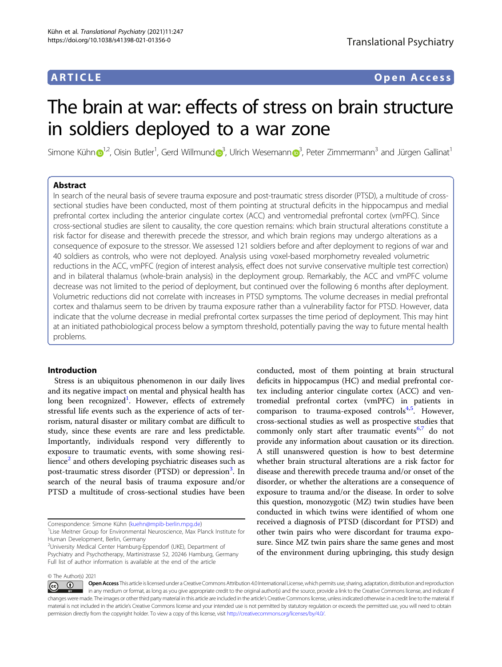# ARTICLE Open Access

# The brain at war: effects of stress on brain structure in soldiers deployed to a war zone

Simo[n](http://orcid.org/0000-0002-2537-2148)e Kühn $\bigcirc^{1,2}$  $\bigcirc^{1,2}$  $\bigcirc^{1,2}$ , Oisin Butler<sup>1</sup>, Ger[d](http://orcid.org/0000-0003-2267-6389) Willmund $\bigcirc^{3}$  $\bigcirc^{3}$  $\bigcirc^{3}$ , Ulrich Wesemann $\bigcirc^{3}$ , Peter Zimmermann $^3$  and Jürgen Gallinat $^1$ 

# Abstract

In search of the neural basis of severe trauma exposure and post-traumatic stress disorder (PTSD), a multitude of crosssectional studies have been conducted, most of them pointing at structural deficits in the hippocampus and medial prefrontal cortex including the anterior cingulate cortex (ACC) and ventromedial prefrontal cortex (vmPFC). Since cross-sectional studies are silent to causality, the core question remains: which brain structural alterations constitute a risk factor for disease and therewith precede the stressor, and which brain regions may undergo alterations as a consequence of exposure to the stressor. We assessed 121 soldiers before and after deployment to regions of war and 40 soldiers as controls, who were not deployed. Analysis using voxel-based morphometry revealed volumetric reductions in the ACC, vmPFC (region of interest analysis, effect does not survive conservative multiple test correction) and in bilateral thalamus (whole-brain analysis) in the deployment group. Remarkably, the ACC and vmPFC volume decrease was not limited to the period of deployment, but continued over the following 6 months after deployment. Volumetric reductions did not correlate with increases in PTSD symptoms. The volume decreases in medial prefrontal cortex and thalamus seem to be driven by trauma exposure rather than a vulnerability factor for PTSD. However, data indicate that the volume decrease in medial prefrontal cortex surpasses the time period of deployment. This may hint at an initiated pathobiological process below a symptom threshold, potentially paving the way to future mental health problems.

# Introduction

Stress is an ubiquitous phenomenon in our daily lives and its negative impact on mental and physical health has long been recognized<sup>[1](#page-7-0)</sup>. However, effects of extremely stressful life events such as the experience of acts of terrorism, natural disaster or military combat are difficult to study, since these events are rare and less predictable. Importantly, individuals respond very differently to exposure to traumatic events, with some showing resilience $^2$  $^2$  and others developing psychiatric diseases such as post-traumatic stress disorder (PTSD) or depression<sup>[3](#page-7-0)</sup>. In search of the neural basis of trauma exposure and/or PTSD a multitude of cross-sectional studies have been

conducted, most of them pointing at brain structural deficits in hippocampus (HC) and medial prefrontal cortex including anterior cingulate cortex (ACC) and ventromedial prefrontal cortex (vmPFC) in patients in comparison to trauma-exposed controls<sup>4,[5](#page-7-0)</sup>. However, cross-sectional studies as well as prospective studies that commonly only start after traumatic events<sup>[6](#page-7-0),[7](#page-7-0)</sup> do not provide any information about causation or its direction. A still unanswered question is how to best determine whether brain structural alterations are a risk factor for disease and therewith precede trauma and/or onset of the disorder, or whether the alterations are a consequence of exposure to trauma and/or the disease. In order to solve this question, monozygotic (MZ) twin studies have been conducted in which twins were identified of whom one received a diagnosis of PTSD (discordant for PTSD) and other twin pairs who were discordant for trauma exposure. Since MZ twin pairs share the same genes and most of the environment during upbringing, this study design

Correspondence: Simone Kühn ([kuehn@mpib-berlin.mpg.de\)](mailto:kuehn@mpib-berlin.mpg.de) <sup>1</sup>

<sup>&</sup>lt;sup>1</sup> Lise Meitner Group for Environmental Neuroscience, Max Planck Institute for Human Development, Berlin, Germany

<sup>2</sup> University Medical Center Hamburg-Eppendorf (UKE), Department of Psychiatry and Psychotherapy, Martinistrasse 52, 20246 Hamburg, Germany Full list of author information is available at the end of the article

<sup>©</sup> The Author(s) 2021

Open Access This article is licensed under a Creative Commons Attribution 4.0 International License, which permits use, sharing, adaptation, distribution and reproduction  $\bigcirc$  $\left[{\rm (cc)}\right]$ in any medium or format, as long as you give appropriate credit to the original author(s) and the source, provide a link to the Creative Commons license, and indicate if changes were made. The images or other third party material in this article are included in the article's Creative Commons license, unless indicated otherwise in a credit line to the material. If material is not included in the article's Creative Commons license and your intended use is not permitted by statutory regulation or exceeds the permitted use, you will need to obtain permission directly from the copyright holder. To view a copy of this license, visit <http://creativecommons.org/licenses/by/4.0/>.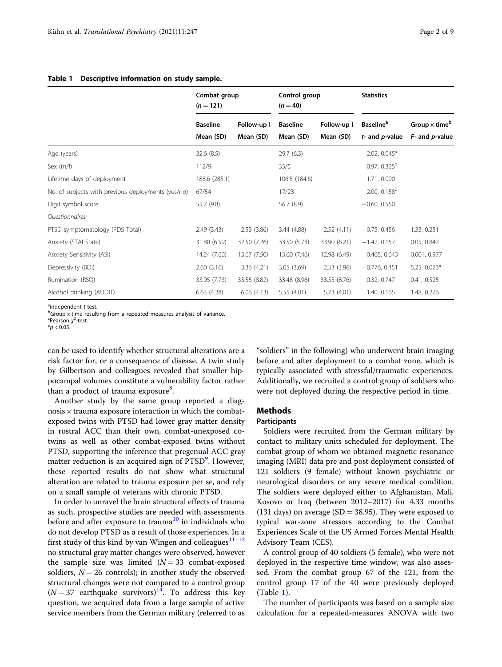## <span id="page-1-0"></span>Table 1 Descriptive information on study sample.

|                                                    | Combat group<br>$(n = 121)$ |              | Control group<br>$(n = 40)$ |              | <b>Statistics</b>            |                                  |
|----------------------------------------------------|-----------------------------|--------------|-----------------------------|--------------|------------------------------|----------------------------------|
|                                                    | <b>Baseline</b>             | Follow-up I  | <b>Baseline</b>             | Follow-up I  | <b>Baseline</b> <sup>a</sup> | Group $\times$ time <sup>b</sup> |
|                                                    | Mean (SD)                   | Mean (SD)    | Mean (SD)                   | Mean (SD)    | $t$ - and $p$ -value         | $F-$ and $p$ -value              |
| Age (years)                                        | 32.6(8.5)                   |              | 29.7(6.3)                   |              | 2.02, 0.045*                 |                                  |
| Sex (m/f)                                          | 112/9                       |              | 35/5                        |              | $0.97, 0.325$ <sup>c</sup>   |                                  |
| Lifetime days of deployment                        | 188.6 (285.1)               |              | 106.5 (184.6)               |              | 1.71, 0.090                  |                                  |
| No. of subjects with previous deployments (yes/no) | 67/54                       |              | 17/23                       |              | $2.00, 0.158$ <sup>c</sup>   |                                  |
| Digit symbol score                                 | 55.7 (9.8)                  |              | 56.7 (8.9)                  |              | $-0.60, 0.550$               |                                  |
| Questionnaires:                                    |                             |              |                             |              |                              |                                  |
| PTSD symptomatology (PDS Total)                    | 2.49(3.43)                  | 2.53(3.86)   | 3.44 (4.88)                 | 2.52(4.11)   | $-0.75, 0.456$               | 1.33, 0.251                      |
| Anxiety (STAI State)                               | 31.80 (6.59)                | 32.50 (7.26) | 33.50 (5.73)                | 33.90 (6.21) | $-1.42, 0.157$               | 0.05, 0.847                      |
| Anxiety Sensitivity (ASI)                          | 14.24 (7.60)                | 13.67 (7.50) | 13.60 (7.46)                | 12.98 (6.49) | 0.465, 0.643                 | 0.001, 0.977                     |
| Depressivity (BDI)                                 | 2.60(3.16)                  | 3.36(4.21)   | 3.05(3.69)                  | 2.53(3.96)   | $-0.776$ , 0.451             | $5.25, 0.023*$                   |
| Rumination (RSQ)                                   | 33.95 (7.73)                | 33.55 (8.82) | 33.48 (8.96)                | 33.55 (8.76) | 0.32, 0.747                  | 0.41, 0.525                      |
| Alcohol drinking (AUDIT)                           | 6.63(4.28)                  | 6.06(4.13)   | 5.55 (4.01)                 | 5.73 (4.01)  | 1.40, 0.165                  | 1.48, 0.226                      |

 $\frac{a}{b}$ independent *t*-test.<br>bGroup × time result

 $bG$ roup  $\times$  time resulting from a repeated measures analysis of variance.

 $\epsilon$ Pearson  $\chi^2$ -test.

 $*_{p}$  < 0.05.

can be used to identify whether structural alterations are a risk factor for, or a consequence of disease. A twin study by Gilbertson and colleagues revealed that smaller hippocampal volumes constitute a vulnerability factor rather than a product of trauma exposure<sup>[8](#page-7-0)</sup>.

Another study by the same group reported a diagnosis × trauma exposure interaction in which the combatexposed twins with PTSD had lower gray matter density in rostral ACC than their own, combat-unexposed cotwins as well as other combat-exposed twins without PTSD, supporting the inference that pregenual ACC gray matter reduction is an acquired sign of PTSD<sup>[9](#page-7-0)</sup>. However, these reported results do not show what structural alteration are related to trauma exposure per se, and rely on a small sample of veterans with chronic PTSD.

In order to unravel the brain structural effects of trauma as such, prospective studies are needed with assessments before and after exposure to trauma<sup>[10](#page-7-0)</sup> in individuals who do not develop PTSD as a result of those experiences. In a first study of this kind by van Wingen and colleagues $11-13$  $11-13$  $11-13$ no structural gray matter changes were observed, however the sample size was limited  $(N = 33$  combat-exposed soldiers,  $N = 26$  controls); in another study the observed structural changes were not compared to a control group  $(N = 37$  earthquake survivors)<sup>14</sup>. To address this key question, we acquired data from a large sample of active service members from the German military (referred to as

"soldiers" in the following) who underwent brain imaging before and after deployment to a combat zone, which is typically associated with stressful/traumatic experiences. Additionally, we recruited a control group of soldiers who were not deployed during the respective period in time.

# Methods

#### Participants

Soldiers were recruited from the German military by contact to military units scheduled for deployment. The combat group of whom we obtained magnetic resonance imaging (MRI) data pre and post deployment consisted of 121 soldiers (9 female) without known psychiatric or neurological disorders or any severe medical condition. The soldiers were deployed either to Afghanistan, Mali, Kosovo or Iraq (between 2012–2017) for 4.33 months (131 days) on average ( $SD = 38.95$ ). They were exposed to typical war-zone stressors according to the Combat Experiences Scale of the US Armed Forces Mental Health Advisory Team (CES).

A control group of 40 soldiers (5 female), who were not deployed in the respective time window, was also assessed. From the combat group 67 of the 121, from the control group 17 of the 40 were previously deployed (Table 1).

The number of participants was based on a sample size calculation for a repeated-measures ANOVA with two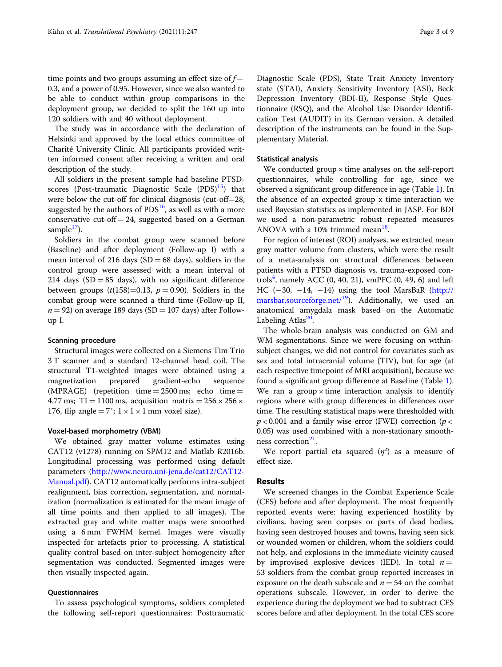time points and two groups assuming an effect size of  $f =$ 0.3, and a power of 0.95. However, since we also wanted to be able to conduct within group comparisons in the deployment group, we decided to split the 160 up into 120 soldiers with and 40 without deployment.

The study was in accordance with the declaration of Helsinki and approved by the local ethics committee of Charité University Clinic. All participants provided written informed consent after receiving a written and oral description of the study.

All soldiers in the present sample had baseline PTSDscores (Post-traumatic Diagnostic Scale  $(PDS)^{15}$  $(PDS)^{15}$  $(PDS)^{15}$ ) that were below the cut-off for clinical diagnosis (cut-off=28, suggested by the authors of  $PDS<sup>16</sup>$ , as well as with a more conservative cut-off  $= 24$ , suggested based on a German sample $17$ ).

Soldiers in the combat group were scanned before (Baseline) and after deployment (Follow-up I) with a mean interval of 216 days (SD = 68 days), soldiers in the control group were assessed with a mean interval of 214 days (SD = 85 days), with no significant difference between groups  $(t(158)=0.13, p=0.90)$ . Soldiers in the combat group were scanned a third time (Follow-up II,  $n = 92$ ) on average 189 days (SD = 107 days) after Followup I.

# Scanning procedure

Structural images were collected on a Siemens Tim Trio 3 T scanner and a standard 12-channel head coil. The structural T1-weighted images were obtained using a magnetization prepared gradient-echo sequence (MPRAGE) (repetition time  $= 2500$  ms; echo time  $=$ 4.77 ms; TI = 1100 ms, acquisition matrix =  $256 \times 256 \times$ 176, flip angle =  $7^\circ$ ; 1 × 1 × 1 mm voxel size).

#### Voxel-based morphometry (VBM)

We obtained gray matter volume estimates using CAT12 (v1278) running on SPM12 and Matlab R2016b. Longitudinal processing was performed using default parameters ([http://www.neuro.uni-jena.de/cat12/CAT12-](http://www.neuro.uni-jena.de/cat12/CAT12-Manual.pdf) [Manual.pdf](http://www.neuro.uni-jena.de/cat12/CAT12-Manual.pdf)). CAT12 automatically performs intra-subject realignment, bias correction, segmentation, and normalization (normalization is estimated for the mean image of all time points and then applied to all images). The extracted gray and white matter maps were smoothed using a 6 mm FWHM kernel. Images were visually inspected for artefacts prior to processing. A statistical quality control based on inter-subject homogeneity after segmentation was conducted. Segmented images were then visually inspected again.

# Questionnaires

To assess psychological symptoms, soldiers completed the following self-report questionnaires: Posttraumatic Diagnostic Scale (PDS), State Trait Anxiety Inventory state (STAI), Anxiety Sensitivity Inventory (ASI), Beck Depression Inventory (BDI-II), Response Style Questionnaire (RSQ), and the Alcohol Use Disorder Identification Test (AUDIT) in its German version. A detailed description of the instruments can be found in the Supplementary Material.

#### Statistical analysis

We conducted group  $\times$  time analyses on the self-report questionnaires, while controlling for age, since we observed a significant group difference in age (Table [1](#page-1-0)). In the absence of an expected group x time interaction we used Bayesian statistics as implemented in JASP. For BDI we used a non-parametric robust repeated measures ANOVA with a 10% trimmed mean $^{18}$  $^{18}$  $^{18}$ .

For region of interest (ROI) analyses, we extracted mean gray matter volume from clusters, which were the result of a meta-analysis on structural differences between patients with a PTSD diagnosis vs. trauma-exposed con-trols<sup>[4](#page-7-0)</sup>, namely ACC (0, 40, 21), vmPFC (0, 49, 6) and left HC  $(-30, -14, -14)$  using the tool MarsBaR ([http://](http://marsbar.sourceforge.net/) [marsbar.sourceforge.net/](http://marsbar.sourceforge.net/) $19$ ). Additionally, we used an anatomical amygdala mask based on the Automatic Labeling Atlas $^{20}$ .

The whole-brain analysis was conducted on GM and WM segmentations. Since we were focusing on withinsubject changes, we did not control for covariates such as sex and total intracranial volume (TIV), but for age (at each respective timepoint of MRI acquisition), because we found a significant group difference at Baseline (Table [1](#page-1-0)). We ran a group  $\times$  time interaction analysis to identify regions where with group differences in differences over time. The resulting statistical maps were thresholded with  $p < 0.001$  and a family wise error (FWE) correction ( $p <$ 0.05) was used combined with a non-stationary smooth-ness correction<sup>[21](#page-7-0)</sup>.

We report partial eta squared  $(\eta^2)$  as a measure of effect size.

### Results

We screened changes in the Combat Experience Scale (CES) before and after deployment. The most frequently reported events were: having experienced hostility by civilians, having seen corpses or parts of dead bodies, having seen destroyed houses and towns, having seen sick or wounded women or children, whom the soldiers could not help, and explosions in the immediate vicinity caused by improvised explosive devices (IED). In total  $n =$ 53 soldiers from the combat group reported increases in exposure on the death subscale and  $n = 54$  on the combat operations subscale. However, in order to derive the experience during the deployment we had to subtract CES scores before and after deployment. In the total CES score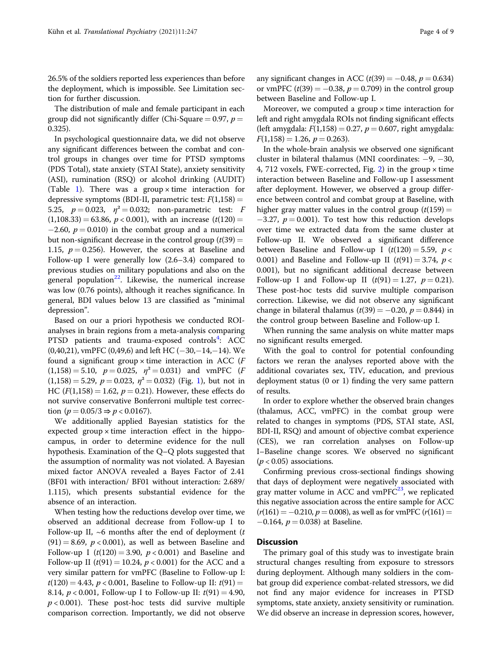26.5% of the soldiers reported less experiences than before the deployment, which is impossible. See Limitation section for further discussion.

The distribution of male and female participant in each group did not significantly differ (Chi-Square = 0.97,  $p =$ 0.325).

In psychological questionnaire data, we did not observe any significant differences between the combat and control groups in changes over time for PTSD symptoms (PDS Total), state anxiety (STAI State), anxiety sensitivity (ASI), rumination (RSQ) or alcohol drinking (AUDIT) (Table [1](#page-1-0)). There was a group  $\times$  time interaction for depressive symptoms (BDI-II, parametric test:  $F(1,158) =$ 5.25,  $p = 0.023$ ,  $\eta^2 = 0.032$ ; non-parametric test: F  $(1,108.33) = 63.86$ ,  $p < 0.001$ ), with an increase  $(t(120) =$  $-2.60$ ,  $p = 0.010$ ) in the combat group and a numerical but non-significant decrease in the control group  $(t(39) =$ 1.15,  $p = 0.256$ . However, the scores at Baseline and Follow-up I were generally low (2.6–3.4) compared to previous studies on military populations and also on the general population $^{22}$ . Likewise, the numerical increase was low (0.76 points), although it reaches significance. In general, BDI values below 13 are classified as "minimal depression".

Based on our a priori hypothesis we conducted ROIanalyses in brain regions from a meta-analysis comparing PTSD patients and trauma-exposed controls<sup>[4](#page-7-0)</sup>: ACC (0,40,21), vmPFC (0,49,6) and left HC (−30,−14,−14). We found a significant group  $\times$  time interaction in ACC ( $F$  $(1,158) = 5.10$ ,  $p = 0.025$ ,  $\eta^2 = 0.031$ ) and vmPFC (F)  $(1,158) = 5.29, p = 0.023, \eta^2 = 0.032$  $(1,158) = 5.29, p = 0.023, \eta^2 = 0.032$  $(1,158) = 5.29, p = 0.023, \eta^2 = 0.032$ ) (Fig. 1), but not in HC ( $F(1,158) = 1.62$ ,  $p = 0.21$ ). However, these effects do not survive conservative Bonferroni multiple test correction  $(p = 0.05/3 \Rightarrow p < 0.0167)$ .

We additionally applied Bayesian statistics for the expected group  $\times$  time interaction effect in the hippocampus, in order to determine evidence for the null hypothesis. Examination of the Q–Q plots suggested that the assumption of normality was not violated. A Bayesian mixed factor ANOVA revealed a Bayes Factor of 2.41 (BF01 with interaction/ BF01 without interaction: 2.689/ 1.115), which presents substantial evidence for the absence of an interaction.

When testing how the reductions develop over time, we observed an additional decrease from Follow-up I to Follow-up II,  $~6$  months after the end of deployment (t  $(91) = 8.69$ ,  $p < 0.001$ ), as well as between Baseline and Follow-up I ( $t(120) = 3.90$ ,  $p < 0.001$ ) and Baseline and Follow-up II ( $t(91) = 10.24$ ,  $p < 0.001$ ) for the ACC and a very similar pattern for vmPFC (Baseline to Follow-up I:  $t(120) = 4.43$ ,  $p < 0.001$ , Baseline to Follow-up II:  $t(91) =$ 8.14,  $p < 0.001$ , Follow-up I to Follow-up II:  $t(91) = 4.90$ ,  $p$  < 0.001). These post-hoc tests did survive multiple comparison correction. Importantly, we did not observe any significant changes in ACC  $(t(39) = -0.48, p = 0.634)$ or vmPFC  $(t(39) = -0.38, p = 0.709)$  in the control group between Baseline and Follow-up I.

Moreover, we computed a group  $\times$  time interaction for left and right amygdala ROIs not finding significant effects (left amygdala:  $F(1,158) = 0.27$ ,  $p = 0.607$ , right amygdala:  $F(1,158) = 1.26, p = 0.263$ .

In the whole-brain analysis we observed one significant cluster in bilateral thalamus (MNI coordinates: −9, −30, 4, 71[2](#page-5-0) voxels, FWE-corrected, Fig. 2) in the group  $\times$  time interaction between Baseline and Follow-up I assessment after deployment. However, we observed a group difference between control and combat group at Baseline, with higher gray matter values in the control group  $(t(159) =$  $-3.27$ ,  $p = 0.001$ ). To test how this reduction develops over time we extracted data from the same cluster at Follow-up II. We observed a significant difference between Baseline and Follow-up I  $(t(120) = 5.59, p <$ 0.001) and Baseline and Follow-up II  $(t(91) = 3.74, p <$ 0.001), but no significant additional decrease between Follow-up I and Follow-up II  $(t(91) = 1.27, p = 0.21)$ . These post-hoc tests did survive multiple comparison correction. Likewise, we did not observe any significant change in bilateral thalamus ( $t(39) = -0.20$ ,  $p = 0.844$ ) in the control group between Baseline and Follow-up I.

When running the same analysis on white matter maps no significant results emerged.

With the goal to control for potential confounding factors we reran the analyses reported above with the additional covariates sex, TIV, education, and previous deployment status (0 or 1) finding the very same pattern of results.

In order to explore whether the observed brain changes (thalamus, ACC, vmPFC) in the combat group were related to changes in symptoms (PDS, STAI state, ASI, BDI-II, RSQ) and amount of objective combat experience (CES), we ran correlation analyses on Follow-up I–Baseline change scores. We observed no significant  $(p < 0.05)$  associations.

Confirming previous cross-sectional findings showing that days of deployment were negatively associated with gray matter volume in ACC and vmPF $C^{23}$ , we replicated this negative association across the entire sample for ACC  $(r(161) = -0.210, p = 0.008)$ , as well as for vmPFC  $(r(161) =$  $-0.164$ ,  $p = 0.038$ ) at Baseline.

# Discussion

The primary goal of this study was to investigate brain structural changes resulting from exposure to stressors during deployment. Although many soldiers in the combat group did experience combat-related stressors, we did not find any major evidence for increases in PTSD symptoms, state anxiety, anxiety sensitivity or rumination. We did observe an increase in depression scores, however,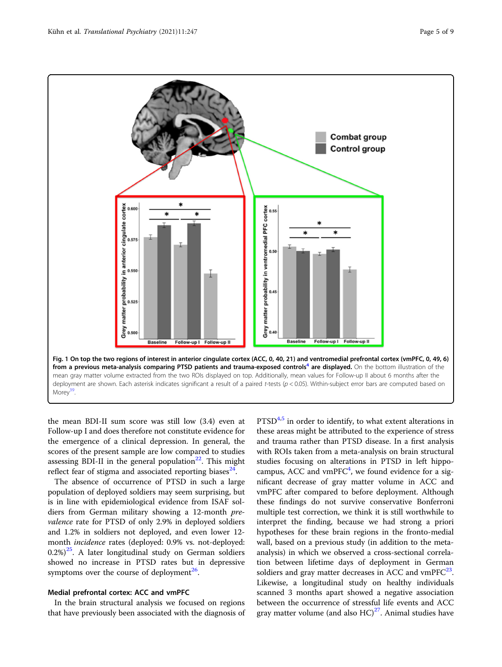<span id="page-4-0"></span>

the mean BDI-II sum score was still low (3.4) even at Follow-up I and does therefore not constitute evidence for the emergence of a clinical depression. In general, the scores of the present sample are low compared to studies assessing BDI-II in the general population<sup>[22](#page-7-0)</sup>. This might reflect fear of stigma and associated reporting biases $^{24}$  $^{24}$  $^{24}$ .

The absence of occurrence of PTSD in such a large population of deployed soldiers may seem surprising, but is in line with epidemiological evidence from ISAF soldiers from German military showing a 12-month prevalence rate for PTSD of only 2.9% in deployed soldiers and 1.2% in soldiers not deployed, and even lower 12 month incidence rates (deployed: 0.9% vs. not-deployed:  $(0.2\%)^{25}$ . A later longitudinal study on German soldiers showed no increase in PTSD rates but in depressive symptoms over the course of deployment<sup>26</sup>.

# Medial prefrontal cortex: ACC and vmPFC

In the brain structural analysis we focused on regions that have previously been associated with the diagnosis of  $PTSD<sup>4,5</sup>$  $PTSD<sup>4,5</sup>$  $PTSD<sup>4,5</sup>$  in order to identify, to what extent alterations in these areas might be attributed to the experience of stress and trauma rather than PTSD disease. In a first analysis with ROIs taken from a meta-analysis on brain structural studies focusing on alterations in PTSD in left hippocampus, ACC and  $vmPFC<sup>4</sup>$  $vmPFC<sup>4</sup>$  $vmPFC<sup>4</sup>$ , we found evidence for a significant decrease of gray matter volume in ACC and vmPFC after compared to before deployment. Although these findings do not survive conservative Bonferroni multiple test correction, we think it is still worthwhile to interpret the finding, because we had strong a priori hypotheses for these brain regions in the fronto-medial wall, based on a previous study (in addition to the metaanalysis) in which we observed a cross-sectional correlation between lifetime days of deployment in German soldiers and gray matter decreases in ACC and vmPF $C^{23}$  $C^{23}$  $C^{23}$ . Likewise, a longitudinal study on healthy individuals scanned 3 months apart showed a negative association between the occurrence of stressful life events and ACC gray matter volume (and also  $HC)^{27}$  $HC)^{27}$  $HC)^{27}$ . Animal studies have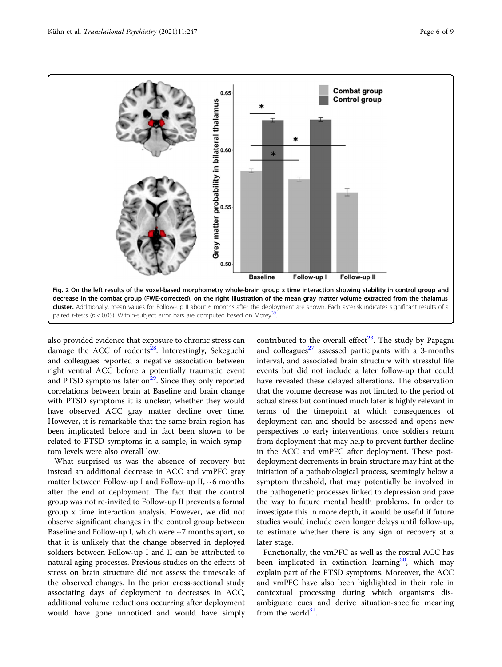<span id="page-5-0"></span>

also provided evidence that exposure to chronic stress can damage the ACC of rodents $^{28}$  $^{28}$  $^{28}$ . Interestingly, Sekeguchi and colleagues reported a negative association between right ventral ACC before a potentially traumatic event and PTSD symptoms later on $^{29}$ . Since they only reported correlations between brain at Baseline and brain change with PTSD symptoms it is unclear, whether they would have observed ACC gray matter decline over time. However, it is remarkable that the same brain region has been implicated before and in fact been shown to be related to PTSD symptoms in a sample, in which symptom levels were also overall low.

What surprised us was the absence of recovery but instead an additional decrease in ACC and vmPFC gray matter between Follow-up I and Follow-up II,  $~6$  months after the end of deployment. The fact that the control group was not re-invited to Follow-up II prevents a formal group x time interaction analysis. However, we did not observe significant changes in the control group between Baseline and Follow-up I, which were ~7 months apart, so that it is unlikely that the change observed in deployed soldiers between Follow-up I and II can be attributed to natural aging processes. Previous studies on the effects of stress on brain structure did not assess the timescale of the observed changes. In the prior cross-sectional study associating days of deployment to decreases in ACC, additional volume reductions occurring after deployment would have gone unnoticed and would have simply

contributed to the overall effect<sup>[23](#page-7-0)</sup>. The study by Papagni and colleagues $^{27}$  $^{27}$  $^{27}$  assessed participants with a 3-months interval, and associated brain structure with stressful life events but did not include a later follow-up that could have revealed these delayed alterations. The observation that the volume decrease was not limited to the period of actual stress but continued much later is highly relevant in terms of the timepoint at which consequences of deployment can and should be assessed and opens new perspectives to early interventions, once soldiers return from deployment that may help to prevent further decline in the ACC and vmPFC after deployment. These postdeployment decrements in brain structure may hint at the initiation of a pathobiological process, seemingly below a symptom threshold, that may potentially be involved in the pathogenetic processes linked to depression and pave the way to future mental health problems. In order to investigate this in more depth, it would be useful if future studies would include even longer delays until follow-up, to estimate whether there is any sign of recovery at a later stage.

Functionally, the vmPFC as well as the rostral ACC has been implicated in extinction learning<sup>30</sup>, which may explain part of the PTSD symptoms. Moreover, the ACC and vmPFC have also been highlighted in their role in contextual processing during which organisms disambiguate cues and derive situation-specific meaning from the world $31$ .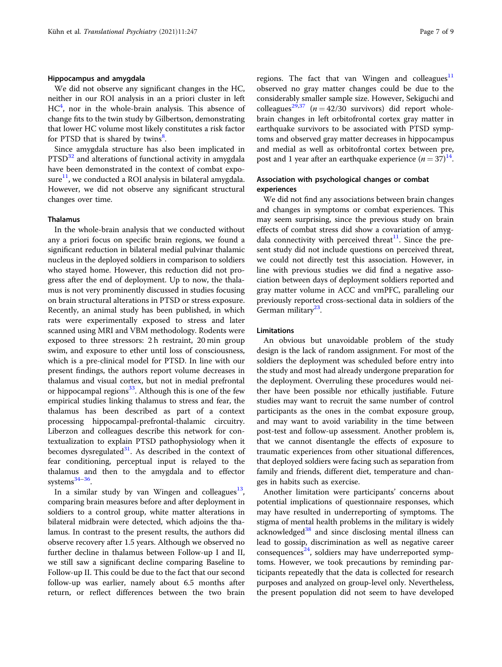### Hippocampus and amygdala

We did not observe any significant changes in the HC, neither in our ROI analysis in an a priori cluster in left  $HC<sup>4</sup>$  $HC<sup>4</sup>$  $HC<sup>4</sup>$ , nor in the whole-brain analysis. This absence of change fits to the twin study by Gilbertson, demonstrating that lower HC volume most likely constitutes a risk factor for PTSD that is shared by twins<sup>[8](#page-7-0)</sup>.

Since amygdala structure has also been implicated in PTSD<sup>[32](#page-8-0)</sup> and alterations of functional activity in amygdala have been demonstrated in the context of combat exposure $^{11}$  $^{11}$  $^{11}$ , we conducted a ROI analysis in bilateral amygdala. However, we did not observe any significant structural changes over time.

## Thalamus

In the whole-brain analysis that we conducted without any a priori focus on specific brain regions, we found a significant reduction in bilateral medial pulvinar thalamic nucleus in the deployed soldiers in comparison to soldiers who stayed home. However, this reduction did not progress after the end of deployment. Up to now, the thalamus is not very prominently discussed in studies focusing on brain structural alterations in PTSD or stress exposure. Recently, an animal study has been published, in which rats were experimentally exposed to stress and later scanned using MRI and VBM methodology. Rodents were exposed to three stressors: 2 h restraint, 20 min group swim, and exposure to ether until loss of consciousness, which is a pre-clinical model for PTSD. In line with our present findings, the authors report volume decreases in thalamus and visual cortex, but not in medial prefrontal or hippocampal regions $^{33}$  $^{33}$  $^{33}$ . Although this is one of the few empirical studies linking thalamus to stress and fear, the thalamus has been described as part of a context processing hippocampal-prefrontal-thalamic circuitry. Liberzon and colleagues describe this network for contextualization to explain PTSD pathophysiology when it becomes dysregulated $31$ . As described in the context of fear conditioning, perceptual input is relayed to the thalamus and then to the amygdala and to effector systems<sup>[34](#page-8-0)-[36](#page-8-0)</sup>.

In a similar study by van Wingen and colleagues $^{13}$  $^{13}$  $^{13}$ , comparing brain measures before and after deployment in soldiers to a control group, white matter alterations in bilateral midbrain were detected, which adjoins the thalamus. In contrast to the present results, the authors did observe recovery after 1.5 years. Although we observed no further decline in thalamus between Follow-up I and II, we still saw a significant decline comparing Baseline to Follow-up II. This could be due to the fact that our second follow-up was earlier, namely about 6.5 months after return, or reflect differences between the two brain regions. The fact that van Wingen and colleagues $11$ observed no gray matter changes could be due to the considerably smaller sample size. However, Sekiguchi and colleagues<sup>[29](#page-7-0)[,37](#page-8-0)</sup> ( $n = 42/30$  survivors) did report wholebrain changes in left orbitofrontal cortex gray matter in earthquake survivors to be associated with PTSD symptoms and observed gray matter decreases in hippocampus and medial as well as orbitofrontal cortex between pre, post and 1 year after an earthquake experience  $(n = 37)^{14}$  $(n = 37)^{14}$  $(n = 37)^{14}$ .

# Association with psychological changes or combat experiences

We did not find any associations between brain changes and changes in symptoms or combat experiences. This may seem surprising, since the previous study on brain effects of combat stress did show a covariation of amygdala connectivity with perceived threat<sup>11</sup>. Since the present study did not include questions on perceived threat, we could not directly test this association. However, in line with previous studies we did find a negative association between days of deployment soldiers reported and gray matter volume in ACC and vmPFC, paralleling our previously reported cross-sectional data in soldiers of the German military $^{23}$ .

#### Limitations

An obvious but unavoidable problem of the study design is the lack of random assignment. For most of the soldiers the deployment was scheduled before entry into the study and most had already undergone preparation for the deployment. Overruling these procedures would neither have been possible nor ethically justifiable. Future studies may want to recruit the same number of control participants as the ones in the combat exposure group, and may want to avoid variability in the time between post-test and follow-up assessment. Another problem is, that we cannot disentangle the effects of exposure to traumatic experiences from other situational differences, that deployed soldiers were facing such as separation from family and friends, different diet, temperature and changes in habits such as exercise.

Another limitation were participants' concerns about potential implications of questionnaire responses, which may have resulted in underreporting of symptoms. The stigma of mental health problems in the military is widely acknowledged<sup>[38](#page-8-0)</sup> and since disclosing mental illness can lead to gossip, discrimination as well as negative career consequences<sup>24</sup>, soldiers may have underreported symptoms. However, we took precautions by reminding participants repeatedly that the data is collected for research purposes and analyzed on group-level only. Nevertheless, the present population did not seem to have developed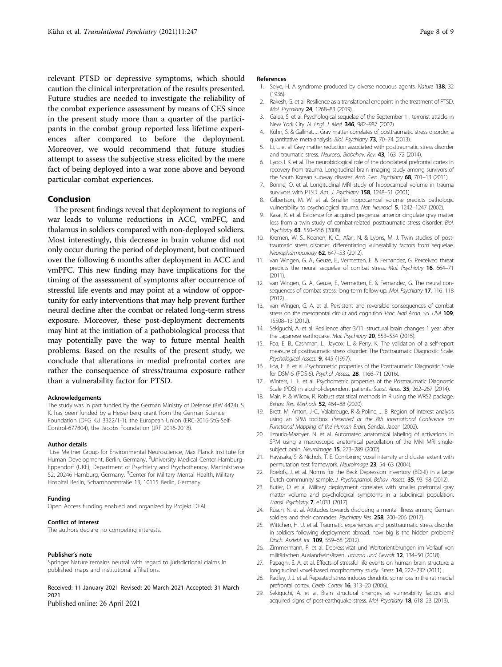<span id="page-7-0"></span>relevant PTSD or depressive symptoms, which should caution the clinical interpretation of the results presented. Future studies are needed to investigate the reliability of the combat experience assessment by means of CES since in the present study more than a quarter of the participants in the combat group reported less lifetime experiences after compared to before the deployment. Moreover, we would recommend that future studies attempt to assess the subjective stress elicited by the mere fact of being deployed into a war zone above and beyond particular combat experiences.

#### Conclusion

The present findings reveal that deployment to regions of war leads to volume reductions in ACC, vmPFC, and thalamus in soldiers compared with non-deployed soldiers. Most interestingly, this decrease in brain volume did not only occur during the period of deployment, but continued over the following 6 months after deployment in ACC and vmPFC. This new finding may have implications for the timing of the assessment of symptoms after occurrence of stressful life events and may point at a window of opportunity for early interventions that may help prevent further neural decline after the combat or related long-term stress exposure. Moreover, these post-deployment decrements may hint at the initiation of a pathobiological process that may potentially pave the way to future mental health problems. Based on the results of the present study, we conclude that alterations in medial prefrontal cortex are rather the consequence of stress/trauma exposure rather than a vulnerability factor for PTSD.

#### Acknowledgements

The study was in part funded by the German Ministry of Defense (BW 4424). S. K. has been funded by a Heisenberg grant from the German Science Foundation (DFG KU 3322/1-1), the European Union (ERC-2016-StG-Self-Control-677804), the Jacobs Foundation (JRF 2016-2018).

#### Author details

<sup>1</sup> Lise Meitner Group for Environmental Neuroscience, Max Planck Institute for Human Development, Berlin, Germany. <sup>2</sup>University Medical Center Hamburg-Eppendorf (UKE), Department of Psychiatry and Psychotherapy, Martinistrasse 52, 20246 Hamburg, Germany. <sup>3</sup>Center for Military Mental Health, Military Hospital Berlin, Scharnhorststraße 13, 10115 Berlin, Germany

#### Funding

Open Access funding enabled and organized by Projekt DEAL.

#### Conflict of interest

The authors declare no competing interests.

#### Publisher's note

Springer Nature remains neutral with regard to jurisdictional claims in published maps and institutional affiliations.

Received: 11 January 2021 Revised: 20 March 2021 Accepted: 31 March 2021

Published online: 26 April 2021

#### References

- 1. Selye, H. A syndrome produced by diverse nocuous agents. Nature 138, 32 (1936).
- 2. Rakesh, G. et al. Resilience as a translational endpoint in the treatment of PTSD. Mol. Psychiatry 24, 1268–83 (2019).
- 3. Galea, S. et al. Psychological sequelae of the September 11 terrorist attacks in New York City. N. Engl. J. Med. 346, 982-987 (2002).
- 4. Kühn, S. & Gallinat, J. Gray matter correlates of posttraumatic stress disorder: a quantitative meta-analysis. Biol. Psychiatry 73, 70–74 (2013).
- 5. Li, L. et al. Grey matter reduction associated with posttraumatic stress disorder and traumatic stress. Neurosci. Biobehav. Rev. 43, 163-72 (2014).
- 6. Lyoo, I. K. et al. The neurobiological role of the dorsolateral prefrontal cortex in recovery from trauma. Longitudinal brain imaging study among survivors of the South Korean subway disaster. Arch. Gen. Psychiatry 68, 701-13 (2011).
- 7. Bonne, O. et al. Longitudinal MRI study of hippocampal volume in trauma survivors with PTSD. Am. J. Psychiatry 158, 1248-51 (2001).
- 8. Gilbertson, M. W. et al. Smaller hippocampal volume predicts pathologic vulnerability to psychological trauma. Nat. Neurosci. 5, 1242–1247 (2002).
- 9. Kasai, K. et al. Evidence for acquired pregenual anterior cingulate gray matter loss from a twin study of combat-related posttraumatic stress disorder. Biol. Psychiatry 63, 550-556 (2008).
- 10. Kremen, W. S., Koenen, K. C., Afari, N. & Lyons, M. J. Twin studies of posttraumatic stress disorder: differentiating vulnerability factors from sequelae. Neuropharmacology 62, 647-53 (2012).
- 11. van Wingen, G. A., Geuze, E., Vermetten, E. & Fernandez, G. Perceived threat predicts the neural sequelae of combat stress. Mol. Psychiatry 16, 664-71 (2011).
- 12. van Wingen, G. A., Geuze, E., Vermetten, E. & Fernandez, G. The neural consequences of combat stress: long-term follow-up. Mol. Psychiatry 17, 116-118  $(2012)$
- 13. van Wingen, G. A. et al. Persistent and reversible consequences of combat stress on the mesofrontal circuit and cognition. Proc. Natl Acad. Sci. USA 109, 15508–13 (2012).
- 14. Sekiguchi, A. et al. Resilience after 3/11: structural brain changes 1 year after the Japanese earthquake. Mol. Psychiatry 20, 553-554 (2015).
- 15. Foa, E. B., Cashman, L., Jaycox, L. & Perry, K. The validation of a self-report measure of posttraumatic stress disorder: The Posttraumatic Diagnostic Scale. Psychological Assess. **9**, 445 (1997).
- 16. Foa, E. B. et al. Psychometric properties of the Posttraumatic Diagnostic Scale for DSM-5 (PDS-5). Psychol. Assess. 28, 1166–71 (2016).
- 17. Winters, L. E. et al. Psychometric properties of the Posttraumatic Diagnostic Scale (PDS) in alcohol-dependent patients. Subst. Abus. 35, 262–267 (2014).
- 18. Mair, P. & Wilcox, R. Robust statistical methods in R using the WRS2 package. Behav. Res. Methods 52, 464–88 (2020).
- 19. Brett, M, Anton, J.-C., Valabreuge, R & Poline, J. B. Region of interest analysis using an SPM toolbox. Presented at the 8th International Conference on Functional Mapping of the Human Brain, Sendai, Japan (2002).
- 20. Tzourio-Mazoyer, N. et al. Automated anatomical labeling of activations in SPM using a macroscopic anatomical parcellation of the MNI MRI singlesubject brain. NeuroImage 15, 273-289 (2002).
- 21. Hayasaka, S. & Nichols, T. E. Combining voxel intensity and cluster extent with permutation test framework. Neurolmage 23, 54-63 (2004).
- 22. Roelofs, J. et al. Norms for the Beck Depression Inventory (BDI-II) in a large Dutch community sample. J. Psychopathol. Behav. Assess. 35, 93-98 (2012).
- 23. Butler, O. et al. Military deployment correlates with smaller prefrontal gray matter volume and psychological symptoms in a subclinical population. Transl. Psychiatry 7, e1031 (2017).
- 24. Rüsch, N. et al. Attitudes towards disclosing a mental illness among German soldiers and their comrades. Psychiatry Res. 258, 200-206 (2017).
- 25. Wittchen, H. U. et al. Traumatic experiences and posttraumatic stress disorder in soldiers following deployment abroad: how big is the hidden problem? Dtsch. Arztebl. Int. 109, 559–68 (2012).
- 26. Zimmermann, P. et al. Depressivität und Wertorientierungen im Verlauf von militärischen Auslandseinsätzen. Trauma und Gewalt 12, 134-50 (2018)
- 27. Papagni, S. A. et al. Effects of stressful life events on human brain structure: a longitudinal voxel-based morphometry study. Stress 14, 227–232 (2011).
- 28. Radley, J. J. et al. Repeated stress induces dendritic spine loss in the rat medial prefrontal cortex. Cereb. Cortex 16, 313-20 (2006).
- 29. Sekiguchi, A. et al. Brain structural changes as vulnerability factors and acquired signs of post-earthquake stress. Mol. Psychiatry 18, 618-23 (2013).